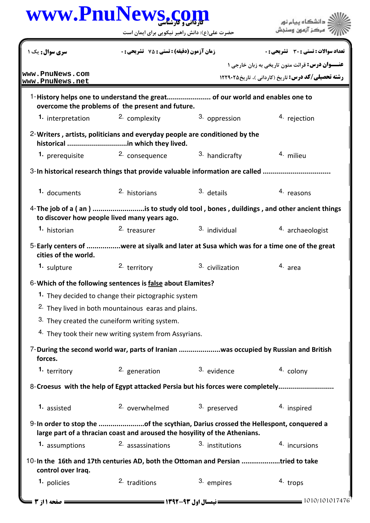| سری سوال: یک ۱<br>www.PnuNews.com<br>www.PnuNews.net | <b>زمان آزمون (دقیقه) : تستی : 75 ٪ تشریحی : 0</b>               |                                                                                                                                                                  |                                                                                      |  |
|------------------------------------------------------|------------------------------------------------------------------|------------------------------------------------------------------------------------------------------------------------------------------------------------------|--------------------------------------------------------------------------------------|--|
|                                                      |                                                                  |                                                                                                                                                                  | <b>تعداد سوالات : تستی : 30 ٪ تشریحی : 0</b>                                         |  |
|                                                      |                                                                  |                                                                                                                                                                  | <b>عنـــوان درس:</b> قرائت متون تاریخی به زبان خارجی ۱                               |  |
|                                                      |                                                                  |                                                                                                                                                                  | <b>رشته تحصیلی/کد درس:</b> تاریخ (کاردانی )، تاریخ۲۲۹۰۲۵ <b>۱۲۲۹۰۲</b>               |  |
|                                                      | overcome the problems of the present and future.                 | 1-History helps one to understand the great of our world and enables one to                                                                                      |                                                                                      |  |
| <b>1.</b> interpretation                             | <sup>2.</sup> complexity                                         | 3. oppression                                                                                                                                                    | 4. rejection                                                                         |  |
|                                                      | historical in which they lived.                                  | 2-Writers, artists, politicians and everyday people are conditioned by the                                                                                       |                                                                                      |  |
|                                                      | 1. prerequisite and <sup>2.</sup> consequence                    | 3. handicrafty                                                                                                                                                   | 4. milieu                                                                            |  |
|                                                      |                                                                  | 3-In historical research things that provide valuable information are called                                                                                     |                                                                                      |  |
| 1. documents                                         | 2. historians                                                    | 3. details                                                                                                                                                       | 4. reasons                                                                           |  |
|                                                      | to discover how people lived many years ago.                     |                                                                                                                                                                  | 4-The job of a (an) is to study old tool, bones, duildings, and other ancient things |  |
| <sup>1.</sup> historian                              | <sup>2.</sup> treasurer                                          | 3. individual                                                                                                                                                    | 4. archaeologist                                                                     |  |
| cities of the world.                                 |                                                                  | 5-Early centers of were at siyalk and later at Susa which was for a time one of the great                                                                        |                                                                                      |  |
| 1. sulpture                                          | 2. territory                                                     | <sup>3.</sup> civilization                                                                                                                                       | 4. area                                                                              |  |
|                                                      | 6-Which of the following sentences is false about Elamites?      |                                                                                                                                                                  |                                                                                      |  |
|                                                      | 1. They decided to change their pictographic system              |                                                                                                                                                                  |                                                                                      |  |
|                                                      | <sup>2.</sup> They lived in both mountainous earas and plains.   |                                                                                                                                                                  |                                                                                      |  |
|                                                      | 3. They created the cuneiform writing system.                    |                                                                                                                                                                  |                                                                                      |  |
|                                                      | <sup>4.</sup> They took their new writing system from Assyrians. |                                                                                                                                                                  |                                                                                      |  |
| forces.                                              |                                                                  | 7-During the second world war, parts of Iranian was occupied by Russian and British                                                                              |                                                                                      |  |
| 1. territory                                         | 2. generation                                                    | 3. evidence                                                                                                                                                      | 4. colony                                                                            |  |
|                                                      |                                                                  | 8-Croesus with the help of Egypt attacked Persia but his forces were completely                                                                                  |                                                                                      |  |
| 1. assisted                                          | 2. overwhelmed                                                   | 3. preserved                                                                                                                                                     | 4. inspired                                                                          |  |
|                                                      |                                                                  | 9-In order to stop the of the scythian, Darius crossed the Hellespont, conquered a<br>large part of a thracian coast and aroused the hosyility of the Athenians. |                                                                                      |  |
| 1. assumptions                                       | 2. assassinations                                                | 3. institutions                                                                                                                                                  | 4. incursions                                                                        |  |
| control over Iraq.                                   |                                                                  | 10-In the 16th and 17th centuries AD, both the Ottoman and Persian tried to take                                                                                 |                                                                                      |  |
| 1. policies                                          | <sup>2.</sup> traditions                                         | 3. empires                                                                                                                                                       | 4. trops                                                                             |  |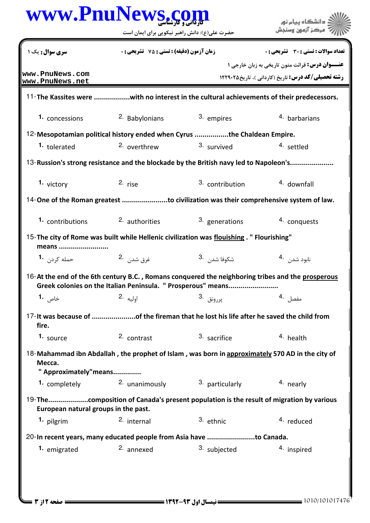|                                                    | حضرت علی(ع): دانش راهبر نیکویی برای ایمان است                                                                                                                     |                          | دانشگاه پیام نور<br>مركز آزمون وسنجش                                                                         |  |
|----------------------------------------------------|-------------------------------------------------------------------------------------------------------------------------------------------------------------------|--------------------------|--------------------------------------------------------------------------------------------------------------|--|
| <b>سری سوال:</b> یک ۱                              | <b>زمان آزمون (دقیقه) : تستی : 75 ٪ تشریحی : 0</b>                                                                                                                |                          | تعداد سوالات : تستي : 30 - تشريحي : 0                                                                        |  |
| www.PnuNews.com<br>www.PnuNews.net                 |                                                                                                                                                                   |                          | عنـــوان درس: قرائت متون تاریخی به زبان خارجی ۱<br><b>رشته تحصیلی/کد درس:</b> تاریخ (کاردانی)، تاریخ ۱۲۲۹۰۲۵ |  |
|                                                    | 11-The Kassites were with no interest in the cultural achievements of their predecessors.                                                                         |                          |                                                                                                              |  |
| 1. concessions                                     | 2. Babylonians                                                                                                                                                    | 3. empires               | <sup>4</sup> barbarians                                                                                      |  |
|                                                    | 12-Mesopotamian political history ended when Cyrus the Chaldean Empire.                                                                                           |                          |                                                                                                              |  |
| 1. tolerated                                       | 2. overthrew                                                                                                                                                      | 3. survived              | 4. settled                                                                                                   |  |
|                                                    | 13-Russion's strong resistance and the blockade by the British navy led to Napoleon's                                                                             |                          |                                                                                                              |  |
| 1. victory                                         | $2.$ rise                                                                                                                                                         | 3. contribution          | 4. downfall                                                                                                  |  |
|                                                    | 14-One of the Roman greatest to civilization was their comprehensive system of law.                                                                               |                          |                                                                                                              |  |
| 1. contributions                                   | <sup>2.</sup> authorities                                                                                                                                         | 3. generations           | 4. conquests                                                                                                 |  |
| means                                              | 15- The city of Rome was built while Hellenic civilization was flouishing. " Flourishing"                                                                         |                          |                                                                                                              |  |
| حمله کړد <sub>ن</sub> <b>1</b> ۰                   | غرق شد <sub>ن،</sub> 2.                                                                                                                                           | شكوفا شد <sub>ن</sub> 3. | نابود شدن 4.                                                                                                 |  |
|                                                    | 16-At the end of the 6th century B.C., Romans conquered the neighboring tribes and the prosperous<br>Greek colonies on the Italian Peninsula. " Prosperous" means |                          |                                                                                                              |  |
| خاص <b>1.</b>                                      | اوليه 2.                                                                                                                                                          | پررونق .3                | مفصل 4.                                                                                                      |  |
| fire.                                              | 17- It was because of of the fireman that he lost his life after he saved the child from                                                                          |                          |                                                                                                              |  |
| 1. source                                          | 2. contrast                                                                                                                                                       | 3. sacrifice             | 4. health                                                                                                    |  |
|                                                    |                                                                                                                                                                   |                          |                                                                                                              |  |
| Mecca.                                             | 18-Mahammad ibn Abdallah, the prophet of Islam, was born in approximately 570 AD in the city of                                                                   |                          |                                                                                                              |  |
| " Approximately"means<br>1. completely             | 2. unanimously                                                                                                                                                    | 3. particularly          | 4. nearly                                                                                                    |  |
|                                                    | 19-Thecomposition of Canada's present population is the result of migration by various                                                                            |                          |                                                                                                              |  |
| European natural groups in the past.<br>1. pilgrim | 2. internal                                                                                                                                                       | 3. ethnic                | 4. reduced                                                                                                   |  |
|                                                    | 20-In recent years, many educated people from Asia have to Canada.                                                                                                |                          |                                                                                                              |  |